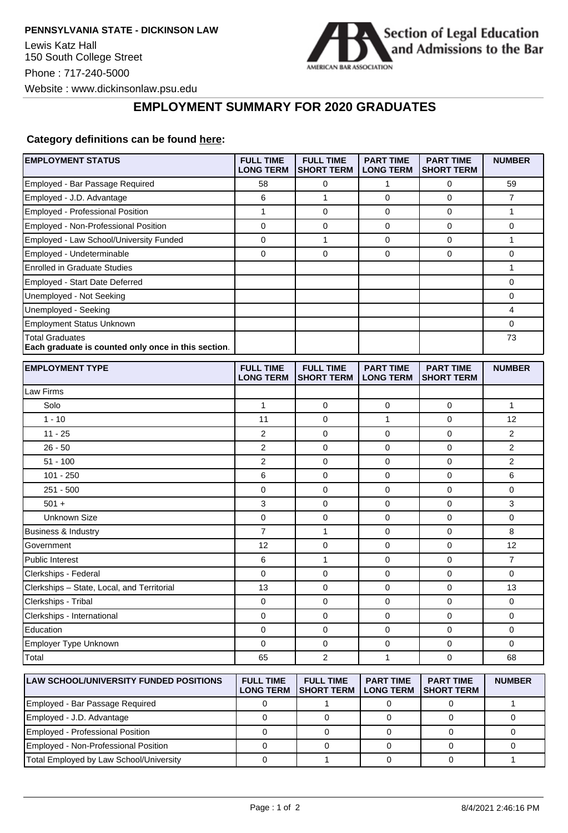

## **EMPLOYMENT SUMMARY FOR 2020 GRADUATES**

## **Category definitions can be found [here:](https://www.americanbar.org/content/dam/aba/administrative/legal_education_and_admissions_to_the_bar/Questionnaires/employment-protocol-class-of-2020.pdf)**

| <b>EMPLOYMENT STATUS</b>                                                      | <b>FULL TIME</b><br><b>LONG TERM</b> | <b>FULL TIME</b><br><b>SHORT TERM</b> | <b>PART TIME</b><br><b>LONG TERM</b> | <b>PART TIME</b><br><b>SHORT TERM</b> | <b>NUMBER</b>  |
|-------------------------------------------------------------------------------|--------------------------------------|---------------------------------------|--------------------------------------|---------------------------------------|----------------|
| Employed - Bar Passage Required                                               | 58                                   | 0                                     | 1                                    | $\mathbf 0$                           | 59             |
| Employed - J.D. Advantage                                                     | 6                                    | 1                                     | 0                                    | $\mathbf 0$                           | $\overline{7}$ |
| Employed - Professional Position                                              | $\mathbf{1}$                         | 0                                     | 0                                    | $\mathbf 0$                           | 1              |
| Employed - Non-Professional Position                                          | 0                                    | 0                                     | 0                                    | 0                                     | 0              |
| Employed - Law School/University Funded                                       | 0                                    | 1                                     | 0                                    | $\mathbf 0$                           | 1              |
| Employed - Undeterminable                                                     | $\mathbf 0$                          | 0                                     | 0                                    | $\mathbf 0$                           | $\mathbf 0$    |
| <b>Enrolled in Graduate Studies</b>                                           |                                      |                                       |                                      |                                       | 1              |
| Employed - Start Date Deferred                                                |                                      |                                       |                                      |                                       | 0              |
| Unemployed - Not Seeking                                                      |                                      |                                       |                                      |                                       | $\mathbf 0$    |
| Unemployed - Seeking                                                          |                                      |                                       |                                      |                                       | 4              |
| <b>Employment Status Unknown</b>                                              |                                      |                                       |                                      |                                       | 0              |
| <b>Total Graduates</b><br>Each graduate is counted only once in this section. |                                      |                                       |                                      |                                       | 73             |
| <b>EMPLOYMENT TYPE</b>                                                        | <b>FULL TIME</b><br><b>LONG TERM</b> | <b>FULL TIME</b><br><b>SHORT TERM</b> | <b>PART TIME</b><br><b>LONG TERM</b> | <b>PART TIME</b><br><b>SHORT TERM</b> | <b>NUMBER</b>  |
| Law Firms                                                                     |                                      |                                       |                                      |                                       |                |
| Solo                                                                          | $\mathbf{1}$                         | 0                                     | 0                                    | 0                                     | 1              |
| $1 - 10$                                                                      | 11                                   | 0                                     | 1                                    | $\mathbf 0$                           | 12             |
| $11 - 25$                                                                     | $\overline{2}$                       | 0                                     | 0                                    | $\mathbf 0$                           | $\overline{2}$ |
| $26 - 50$                                                                     | 2                                    | 0                                     | 0                                    | 0                                     | 2              |
| $51 - 100$                                                                    | 2                                    | 0                                     | 0                                    | $\mathbf 0$                           | $\overline{2}$ |
| $101 - 250$                                                                   | 6                                    | 0                                     | 0                                    | $\mathbf 0$                           | 6              |
| $251 - 500$                                                                   | 0                                    | 0                                     | 0                                    | 0                                     | 0              |
| $501 +$                                                                       | 3                                    | 0                                     | 0                                    | $\mathbf 0$                           | 3              |
| <b>Unknown Size</b>                                                           | 0                                    | 0                                     | 0                                    | $\mathbf 0$                           | $\mathbf 0$    |
| Business & Industry                                                           | 7                                    | 1                                     | 0                                    | 0                                     | 8              |
| Government                                                                    | 12                                   | 0                                     | 0                                    | 0                                     | 12             |
| <b>Public Interest</b>                                                        | 6                                    | 1                                     | 0                                    | 0                                     | $\overline{7}$ |
| Clerkships - Federal                                                          | $\mathbf 0$                          | 0                                     | 0                                    | 0                                     | 0              |
| Clerkships - State, Local, and Territorial                                    | 13                                   | 0                                     | 0                                    | $\mathbf 0$                           | 13             |
| Clerkships - Tribal                                                           | 0                                    | 0                                     | 0                                    | 0                                     | 0              |
| Clerkships - International                                                    | 0                                    | 0                                     | 0                                    | $\mathbf 0$                           | $\mathbf 0$    |
| Education                                                                     | 0                                    | 0                                     | 0                                    | 0                                     | 0              |
| Employer Type Unknown                                                         | 0                                    | 0                                     | 0                                    | $\mathbf 0$                           | 0              |
| Total                                                                         | 65                                   | 2                                     | 1                                    | 0                                     | 68             |
| <b>LAW SCHOOL/UNIVERSITY FUNDED POSITIONS</b>                                 | <b>FULL TIME</b><br><b>LONG TERM</b> | <b>FULL TIME</b><br><b>SHORT TERM</b> | <b>PART TIME</b><br><b>LONG TERM</b> | <b>PART TIME</b><br><b>SHORT TERM</b> | <b>NUMBER</b>  |
| Employed Res Persons Poquized                                                 | $\Omega$                             | $\overline{A}$                        | $\cap$                               | $\Omega$                              | $\overline{A}$ |

| LAN 001100001111 LIVII     0110LD   001110110 | ------<br><b>LONG TERM</b> | .<br><b>ISHORT TERM I LONG TERM</b> | <u>. ART INIL</u> | <b>ISHORT TERM</b> | IVVIIIPEIV |
|-----------------------------------------------|----------------------------|-------------------------------------|-------------------|--------------------|------------|
| Employed - Bar Passage Required               |                            |                                     |                   |                    |            |
| Employed - J.D. Advantage                     |                            |                                     |                   |                    |            |
| Employed - Professional Position              |                            |                                     |                   |                    |            |
| Employed - Non-Professional Position          |                            |                                     |                   |                    |            |
| Total Employed by Law School/University       |                            |                                     |                   |                    |            |